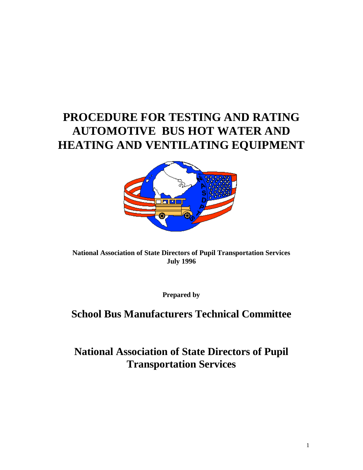# **PROCEDURE FOR TESTING AND RATING AUTOMOTIVE BUS HOT WATER AND HEATING AND VENTILATING EQUIPMENT**



# **National Association of State Directors of Pupil Transportation Services July 1996**

**Prepared by**

# **School Bus Manufacturers Technical Committee**

# **National Association of State Directors of Pupil Transportation Services**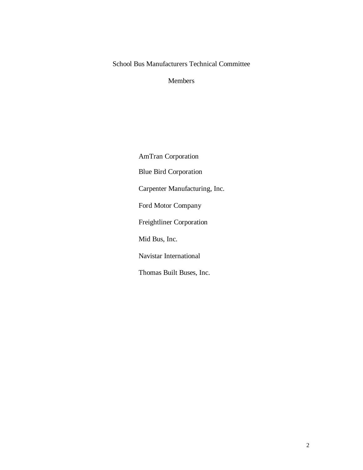# School Bus Manufacturers Technical Committee

Members

AmTran Corporation Blue Bird Corporation Carpenter Manufacturing, Inc. Ford Motor Company Freightliner Corporation Mid Bus, Inc. Navistar International Thomas Built Buses, Inc.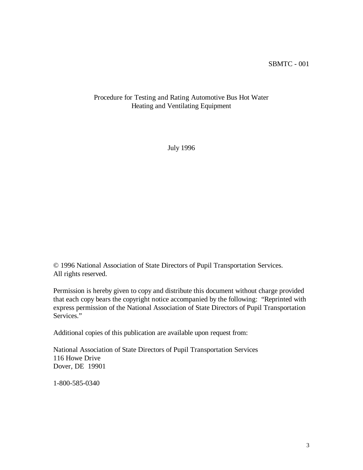## Procedure for Testing and Rating Automotive Bus Hot Water Heating and Ventilating Equipment

July 1996

© 1996 National Association of State Directors of Pupil Transportation Services. All rights reserved.

Permission is hereby given to copy and distribute this document without charge provided that each copy bears the copyright notice accompanied by the following: "Reprinted with express permission of the National Association of State Directors of Pupil Transportation Services."

Additional copies of this publication are available upon request from:

National Association of State Directors of Pupil Transportation Services 116 Howe Drive Dover, DE 19901

1-800-585-0340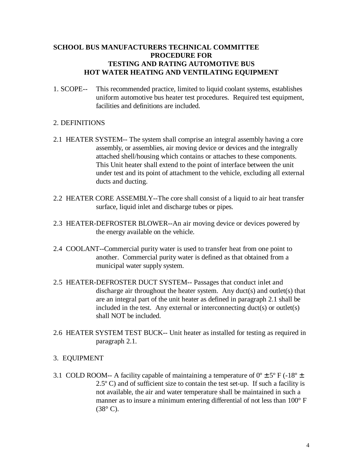# **SCHOOL BUS MANUFACTURERS TECHNICAL COMMITTEE PROCEDURE FOR TESTING AND RATING AUTOMOTIVE BUS HOT WATER HEATING AND VENTILATING EQUIPMENT**

1. SCOPE-- This recommended practice, limited to liquid coolant systems, establishes uniform automotive bus heater test procedures. Required test equipment, facilities and definitions are included.

## 2. DEFINITIONS

- 2.1 HEATER SYSTEM-- The system shall comprise an integral assembly having a core assembly, or assemblies, air moving device or devices and the integrally attached shell/housing which contains or attaches to these components. This Unit heater shall extend to the point of interface between the unit under test and its point of attachment to the vehicle, excluding all external ducts and ducting.
- 2.2 HEATER CORE ASSEMBLY--The core shall consist of a liquid to air heat transfer surface, liquid inlet and discharge tubes or pipes.
- 2.3 HEATER-DEFROSTER BLOWER--An air moving device or devices powered by the energy available on the vehicle.
- 2.4 COOLANT--Commercial purity water is used to transfer heat from one point to another. Commercial purity water is defined as that obtained from a municipal water supply system.
- 2.5 HEATER-DEFROSTER DUCT SYSTEM-- Passages that conduct inlet and discharge air throughout the heater system. Any duct(s) and outlet(s) that are an integral part of the unit heater as defined in paragraph 2.1 shall be included in the test. Any external or interconnecting duct(s) or outlet(s) shall NOT be included.
- 2.6 HEATER SYSTEM TEST BUCK-- Unit heater as installed for testing as required in paragraph 2.1.

### 3. EQUIPMENT

3.1 COLD ROOM-- A facility capable of maintaining a temperature of  $0^{\circ} \pm 5^{\circ}$  F (-18<sup>o</sup>  $\pm$ 2.5º C) and of sufficient size to contain the test set-up. If such a facility is not available, the air and water temperature shall be maintained in such a manner as to insure a minimum entering differential of not less than 100° F  $(38^\circ \text{ C}).$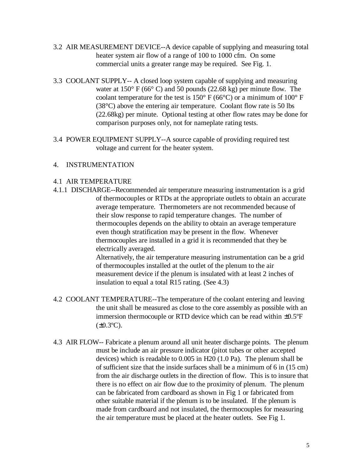- 3.2 AIR MEASUREMENT DEVICE--A device capable of supplying and measuring total heater system air flow of a range of 100 to 1000 cfm. On some commercial units a greater range may be required. See Fig. 1.
- 3.3 COOLANT SUPPLY-- A closed loop system capable of supplying and measuring water at 150° F (66° C) and 50 pounds (22.68 kg) per minute flow. The coolant temperature for the test is  $150^{\circ}$  F (66 $^{\circ}$ C) or a minimum of 100 $^{\circ}$  F (38°C) above the entering air temperature. Coolant flow rate is 50 lbs (22.68kg) per minute. Optional testing at other flow rates may be done for comparison purposes only, not for nameplate rating tests.
- 3.4 POWER EQUIPMENT SUPPLY--A source capable of providing required test voltage and current for the heater system.

### 4. INSTRUMENTATION

### 4.1 AIR TEMPERATURE

4.1.1 DISCHARGE--Recommended air temperature measuring instrumentation is a grid of thermocouples or RTDs at the appropriate outlets to obtain an accurate average temperature. Thermometers are not recommended because of their slow response to rapid temperature changes. The number of thermocouples depends on the ability to obtain an average temperature even though stratification may be present in the flow. Whenever thermocouples are installed in a grid it is recommended that they be electrically averaged.

Alternatively, the air temperature measuring instrumentation can be a grid of thermocouples installed at the outlet of the plenum to the air measurement device if the plenum is insulated with at least 2 inches of insulation to equal a total R15 rating. (See 4.3)

- 4.2 COOLANT TEMPERATURE--The temperature of the coolant entering and leaving the unit shall be measured as close to the core assembly as possible with an immersion thermocouple or RTD device which can be read within ±0.5ºF  $(\pm 0.3^{\circ}C).$
- 4.3 AIR FLOW-- Fabricate a plenum around all unit heater discharge points. The plenum must be include an air pressure indicator (pitot tubes or other accepted devices) which is readable to 0.005 in H20 (1.0 Pa). The plenum shall be of sufficient size that the inside surfaces shall be a minimum of 6 in (15 cm) from the air discharge outlets in the direction of flow. This is to insure that there is no effect on air flow due to the proximity of plenum. The plenum can be fabricated from cardboard as shown in Fig 1 or fabricated from other suitable material if the plenum is to be insulated. If the plenum is made from cardboard and not insulated, the thermocouples for measuring the air temperature must be placed at the heater outlets. See Fig 1.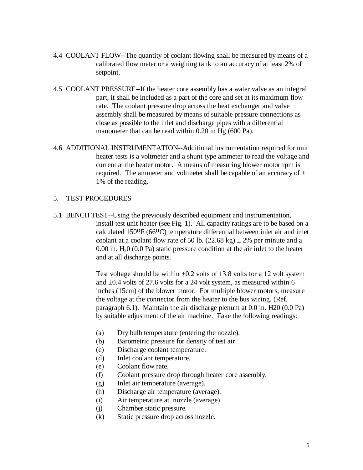- 4.4 COOLANT FLOW--The quantity of coolant flowing shall be measured by means of a calibrated flow meter or a weighing tank to an accuracy of at least 2% of setpoint.
- 4.5 COOLANT PRESSURE--If the heater core assembly has a water valve as an integral part, it shall be included as a part of the core and set at its maximum flow rate. The coolant pressure drop across the heat exchanger and valve assembly shall be measured by means of suitable pressure connections as close as possible to the inlet and discharge pipes with a differential manometer that can be read within 0.20 in Hg (600 Pa).
- 4.6 ADDITIONAL INSTRUMENTATION--Additional instrumentation required for unit heater tests is a voltmeter and a shunt type ammeter to read the voltage and current at the heater motor. A means of measuring blower motor rpm is required. The ammeter and voltmeter shall be capable of an accuracy of  $\pm$ 1% of the reading.

#### 5. TEST PROCEDURES

5.1 BENCH TEST--Using the previously described equipment and instrumentation, install test unit heater (see Fig. 1). All capacity ratings are to be based on a calculated  $150^{\circ}F (66^{\circ}C)$  temperature differential between inlet air and inlet coolant at a coolant flow rate of 50 lb.  $(22.68 \text{ kg}) \pm 2\%$  per minute and a  $0.00$  in. H<sub>2</sub>O  $(0.0 \text{ Pa})$  static pressure condition at the air inlet to the heater and at all discharge points.

> Test voltage should be within  $\pm 0.2$  volts of 13.8 volts for a 12 volt system and  $\pm 0.4$  volts of 27.6 volts for a 24 volt system, as measured within 6 inches (15cm) of the blower motor. For multiple blower motors, measure the voltage at the connector from the heater to the bus wiring. (Ref. paragraph 6.1). Maintain the air discharge plenum at 0.0 in. H20 (0.0 Pa) by suitable adjustment of the air machine. Take the following readings:

- (a) Dry bulb temperature (entering the nozzle).
- (b) Barometric pressure for density of test air.
- (c) Discharge coolant temperature.
- (d) Inlet coolant temperature.
- (e) Coolant flow rate.
- (f) Coolant pressure drop through heater core assembly.
- (g) Inlet air temperature (average).
- (h) Discharge air temperature (average).
- (i) Air temperature at nozzle (average).
- (j) Chamber static pressure.
- (k) Static pressure drop across nozzle.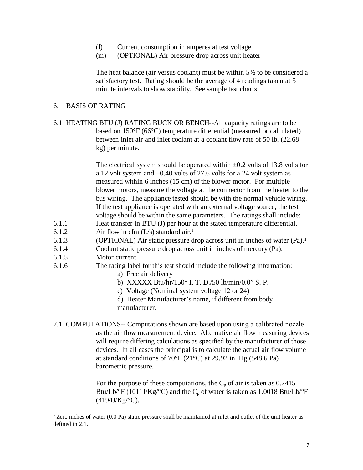- (l) Current consumption in amperes at test voltage.
- (m) (OPTIONAL) Air pressure drop across unit heater

The heat balance (air versus coolant) must be within 5% to be considered a satisfactory test. Rating should be the average of 4 readings taken at 5 minute intervals to show stability. See sample test charts.

#### 6. BASIS OF RATING

6.1 HEATING BTU (J) RATING BUCK OR BENCH--All capacity ratings are to be based on 150°F (66°C) temperature differential (measured or calculated) between inlet air and inlet coolant at a coolant flow rate of 50 lb. (22.68 kg) per minute.

> The electrical system should be operated within  $\pm 0.2$  volts of 13.8 volts for a 12 volt system and ±0.40 volts of 27.6 volts for a 24 volt system as measured within 6 inches (15 cm) of the blower motor. For multiple blower motors, measure the voltage at the connector from the heater to the bus wiring. The appliance tested should be with the normal vehicle wiring. If the test appliance is operated with an external voltage source, the test voltage should be within the same parameters. The ratings shall include:

- 6.1.1 Heat transfer in BTU (J) per hour at the stated temperature differential.
- 6.1.2 Air flow in cfm  $(L/s)$  standard air.<sup>1</sup>
- 6.1.3 (OPTIONAL) Air static pressure drop across unit in inches of water (Pa).<sup>1</sup>
- 6.1.4 Coolant static pressure drop across unit in inches of mercury (Pa).
- 6.1.5 Motor current
- 6.1.6 The rating label for this test should include the following information:
	- a) Free air delivery
	- b) XXXXX Btu/hr/150° I. T. D./50 lb/min/0.0" S. P.
	- c) Voltage (Nominal system voltage 12 or 24)
	- d) Heater Manufacturer's name, if different from body manufacturer.
- 7.1 COMPUTATIONS-- Computations shown are based upon using a calibrated nozzle as the air flow measurement device. Alternative air flow measuring devices will require differing calculations as specified by the manufacturer of those devices. In all cases the principal is to calculate the actual air flow volume at standard conditions of 70°F (21°C) at 29.92 in. Hg (548.6 Pa) barometric pressure.

For the purpose of these computations, the  $C_p$  of air is taken as 0.2415 Btu/Lb/°F (1011J/Kg/°C) and the  $C_p$  of water is taken as 1.0018 Btu/Lb/°F  $(4194J/Kg$ <sup>o</sup>C).

<sup>&</sup>lt;sup>1</sup> Zero inches of water (0.0 Pa) static pressure shall be maintained at inlet and outlet of the unit heater as defined in 2.1.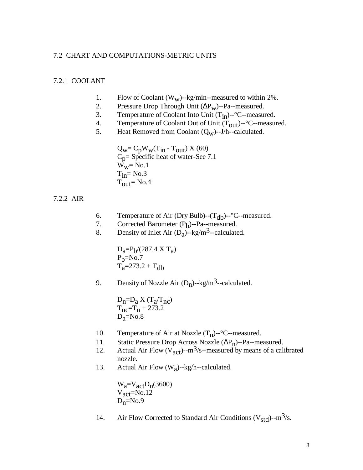#### 7.2 CHART AND COMPUTATIONS-METRIC UNITS

#### 7.2.1 COOLANT

- 1. Flow of Coolant (W<sub>W</sub>)--kg/min--measured to within 2%.<br>2. Pressure Drop Through Unit ( $\Delta P_{\text{uv}}$ )--Pa--measured.
- 2. Pressure Drop Through Unit  $(\Delta P_W)$ --Pa--measured.<br>3. Temperature of Coolant Into Unit  $(T_{in})$ --°C--measured.
- 3. Temperature of Coolant Into Unit  $(T_{in})^{-2}$ C--measured.<br>4. Temperature of Coolant Out of Unit  $(T_{out})^{-2}$ C--measured.
- 4. Temperature of Coolant Out of Unit  $(T_{out})$ --°C--measured.<br>5. Heat Removed from Coolant  $(O_{vv})$ --J/h--calculated.
- Heat Removed from Coolant  $(Q_w)$ --J/h--calculated.

 $Q_W = C_p W_W(T_{in} - T_{out}) X (60)$  $C_p$ = Specific heat of water-See 7.1  $W_W = No.1$  $T_{in} = No.3$  $T_{\text{out}}$  = No.4

7.2.2 AIR

- 6. Temperature of Air (Dry Bulb)--( $T_{db}$ )--°C--measured.<br>7. Corrected Barometer ( $P_b$ )--Pa--measured.
- 7. Corrected Barometer  $(P_b)$ --Pa--measured.
- 8. Density of Inlet Air  $(D_a)$ --kg/m<sup>3</sup>--calculated.

 $D_a = P_b / (287.4 \text{ X T}_a)$  $P<sub>b</sub>=No.7$  $T_a = 273.2 + T_{db}$ 

9. Density of Nozzle Air  $(D_n)$ --kg/m<sup>3</sup>--calculated.

 $D_n=D_a X(T_a/T_{nc})$  $T_{nc}=T_n + 273.2$  $D<sub>3</sub>=No.8$ 

- 10. Temperature of Air at Nozzle  $(T_n)$ --°C--measured.<br>11. Static Pressure Drop Across Nozzle ( $\Delta P_n$ )--Pa--me
- 11. Static Pressure Drop Across Nozzle  $(\Delta P_n)$ --Pa--measured.<br>12. Actual Air Flow  $(V_{\text{act}})$ --m<sup>3</sup>/s--measured by means of a cal
- Actual Air Flow ( $V_{\text{act}}$ )--m<sup>3</sup>/s--measured by means of a calibrated nozzle.
- 13. Actual Air Flow  $(W_a)$ --kg/h--calculated.

 $W_a=V_{act}D_n(3600)$ Vact=No.12  $D_n=N_0.9$ 

14. Air Flow Corrected to Standard Air Conditions ( $V_{std}$ )--m<sup>3</sup>/s.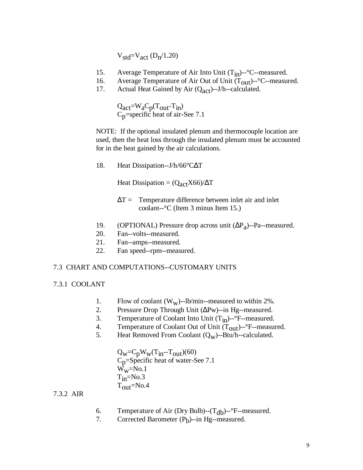$V_{std}=V_{act}$  (D<sub>n</sub>/1.20)

- 15. Average Temperature of Air Into Unit  $(T_{in})$ - $°C$ -measured.
- 16. Average Temperature of Air Out of Unit  $(T_{out})$ --°C--measured.<br>17. Actual Heat Gained by Air  $(O_{\text{oct}})$ --J/h--calculated.
- Actual Heat Gained by Air  $(Q_{act})$ --J/h--calculated.

 $Q_{\text{act}} = W_{\text{a}} C_{\text{p}} (T_{\text{out}} - T_{\text{in}})$ Cp=specific heat of air**-**See 7.1

NOTE: If the optional insulated plenum and thermocouple location are used, then the heat loss through the insulated plenum must be accounted for in the heat gained by the air calculations.

18. Heat Dissipation--J/h/66°CΔT

Heat Dissipation =  $(Q_{\text{act}}X66)/\Delta T$ 

- $\Delta T =$  Temperature difference between inlet air and inlet coolant--°C (Item 3 minus Item 15.)
- 19. (OPTIONAL) Pressure drop across unit  $(\Delta P_a)$ --Pa--measured.
- 20. Fan--volts--measured.
- 21. Fan--amps--measured.
- 22. Fan speed--rpm--measured.

#### 7.3 CHART AND COMPUTATIONS--CUSTOMARY UNITS

#### 7.3.1 COOLANT

- 1. Flow of coolant  $(W_w)$ --lb/min--measured to within 2%.<br>2. Pressure Drop Through Unit ( $\Delta Pw$ )--in Hg--measured.
- Pressure Drop Through Unit (ΔPw)--in Hg--measured.
- 3. Temperature of Coolant Into Unit  $(T_{in})^{-2}$ F--measured.<br>4. Temperature of Coolant Out of Unit  $(T_{out})^{-2}$ F--measure
- 4. Temperature of Coolant Out of Unit  $(T_{out})$ --°F--measured.<br>5. Heat Removed From Coolant  $(O_w)$ --Btu/h--calculated.
- Heat Removed From Coolant  $(Q_w)$ --Btu/h--calculated.
	- $Q_W = C_p W_W(T_{in} T_{out})(60)$ Cp=Specific heat of water-See 7.1  $W_W$ =No.1  $T_{in}$ =No.3  $T_{\text{out}}$ =No.4

### 7.3.2 AIR

- 6. Temperature of Air (Dry Bulb)--(T<sub>db</sub>)--°F--measured.<br>7. Corrected Barometer (P<sub>b</sub>)--in Hg--measured.
- 7. Corrected Barometer (P<sub>b</sub>)--in Hg--measured.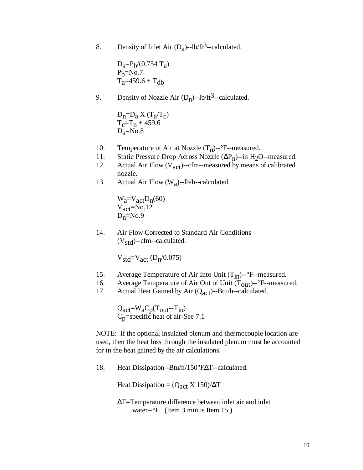8. Density of Inlet Air  $(D_a)$ --lb/ft<sup>3</sup>--calculated.

 $D_a = P_b / (0.754 \text{ T}_a)$  $P<sub>b</sub>=No.7$  $T_a = 459.6 + T_{db}$ 

9. Density of Nozzle Air  $(D_n)$ --lb/ft<sup>3</sup>--calculated.

 $D_n=D_a X(T_a/T_c)$  $T_c=T_n + 459.6$  $D<sub>a</sub>=No.8$ 

- 10. Temperature of Air at Nozzle  $(T_n)$ --°F--measured.<br>11. Static Pressure Drop Across Nozzle  $(\Delta P_n)$ --in H<sub>2</sub>C
- 11. Static Pressure Drop Across Nozzle  $(\Delta P_n)$ --in H<sub>2</sub>O--measured.<br>12. Actual Air Flow (V<sub>act</sub>)--cfm--measured by means of calibrated
- Actual Air Flow  $(V_{act})$ --cfm--measured by means of calibrated nozzle.
- 13. Actual Air Flow  $(W_a)$ --lb/h--calculated.

 $W_a=V_{act}D_n(60)$  $V_{\text{act}}$ =No.12  $D_n = No.9$ 

14. Air Flow Corrected to Standard Air Conditions  $(V<sub>std</sub>)$ --cfm--calculated.

 $V_{std}=V_{act}$  (D<sub>n</sub>/0.075)

- 15. Average Temperature of Air Into Unit  $(T_{in})$ - $\degree$ F--measured.<br>16. Average Temperature of Air Out of Unit  $(T_{out})$ - $\degree$ F--measured.
- 16. Average Temperature of Air Out of Unit  $(T_{out})$ - $\degree$ F--measured.<br>17. Actual Heat Gained by Air (O<sub>act</sub>)--Btu/h--calculated.
- Actual Heat Gained by Air  $(Q_{act})$ --Btu/h--calculated.

 $Q_{act} = W_a C_p (T_{out} - T_{in})$ Cp=specific heat of air**-**See 7.1

NOTE: If the optional insulated plenum and thermocouple location are used, then the heat loss through the insulated plenum must be accounted for in the heat gained by the air calculations.

18. Heat Dissipation--Btu/h/150°FΔT--calculated.

Heat Dissipation =  $(Q_{\text{act}} X 150)/\Delta T$ 

ΔT=Temperature difference between inlet air and inlet water--°F. (Item 3 minus Item 15.)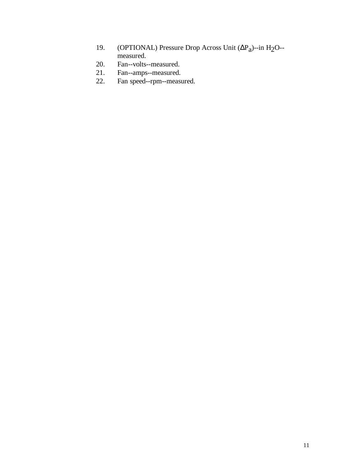- 19. (OPTIONAL) Pressure Drop Across Unit (ΔP<sub>a</sub>)--in H<sub>2</sub>O-measured.
- 20. Fan--volts--measured.
- 21. Fan--amps--measured.
- 22. Fan speed--rpm--measured.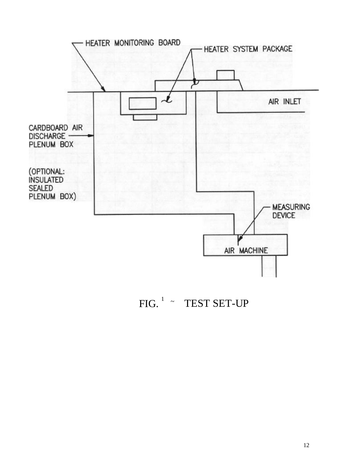

 $FIG.$ <sup>1</sup> ~ TEST SET-UP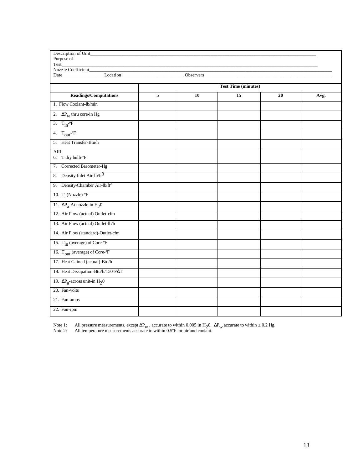| Description of Unit_                                   |                            |    |    |    |      |  |  |  |  |
|--------------------------------------------------------|----------------------------|----|----|----|------|--|--|--|--|
| Purpose of                                             |                            |    |    |    |      |  |  |  |  |
| Test<br>Nozzle Coefficient______                       |                            |    |    |    |      |  |  |  |  |
|                                                        |                            |    |    |    |      |  |  |  |  |
|                                                        |                            |    |    |    |      |  |  |  |  |
|                                                        | <b>Test Time (minutes)</b> |    |    |    |      |  |  |  |  |
| <b>Readings/Computations</b>                           | 5                          | 10 | 15 | 20 | Avg. |  |  |  |  |
| 1. Flow Coolant-lb/min                                 |                            |    |    |    |      |  |  |  |  |
| 2. $\Delta P_w$ thru core-in Hg                        |                            |    |    |    |      |  |  |  |  |
| 3. $T_{in}^{\circ}$ -F                                 |                            |    |    |    |      |  |  |  |  |
| 4. $T_{\text{out}}$ - $\text{F}$                       |                            |    |    |    |      |  |  |  |  |
| 5. Heat Transfer-Btu/h                                 |                            |    |    |    |      |  |  |  |  |
| <b>AIR</b><br>6. T dry bulb-°F                         |                            |    |    |    |      |  |  |  |  |
| 7. Corrected Barometer-Hg                              |                            |    |    |    |      |  |  |  |  |
| 8. Density-Inlet Air-lb/ft <sup>3</sup>                |                            |    |    |    |      |  |  |  |  |
| 9. Density-Chamber Air-lb/ft <sup>3</sup>              |                            |    |    |    |      |  |  |  |  |
| 10. $T_a$ (Nozzle)- $\degree$ F                        |                            |    |    |    |      |  |  |  |  |
| 11. $\Delta P_a$ -At nozzle-in H <sub>2</sub> 0        |                            |    |    |    |      |  |  |  |  |
| 12. Air Flow (actual) Outlet-cfm                       |                            |    |    |    |      |  |  |  |  |
| 13. Air Flow (actual) Outlet-lb/h                      |                            |    |    |    |      |  |  |  |  |
| 14. Air Flow (standard)-Outlet-cfm                     |                            |    |    |    |      |  |  |  |  |
| 15. T <sub>in</sub> (average) of Core- <sup>o</sup> F  |                            |    |    |    |      |  |  |  |  |
| 16. T <sub>out</sub> (average) of Core- <sup>o</sup> F |                            |    |    |    |      |  |  |  |  |
| 17. Heat Gained (actual)-Btu/h                         |                            |    |    |    |      |  |  |  |  |
| 18. Heat Dissipation-Btu/h/150°FAT                     |                            |    |    |    |      |  |  |  |  |
| 19. $\Delta P_a$ -across unit-in $H_2$ 0               |                            |    |    |    |      |  |  |  |  |
| 20. Fan-volts                                          |                            |    |    |    |      |  |  |  |  |
| 21. Fan-amps                                           |                            |    |    |    |      |  |  |  |  |
| 22. Fan-rpm                                            |                            |    |    |    |      |  |  |  |  |

Note 1: All pressure measurements, except  $\Delta P_w$ , accurate to within 0.005 in H<sub>2</sub>0.  $\Delta P_w$  accurate to within  $\pm$  0.2 Hg.

Note 2: All temperature measurements accurate to within 0.5°F for air and coolant.